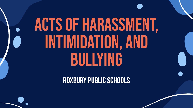## Acts of Harassment, INtimidation, and BUllying

Roxbury Public SCHOOLs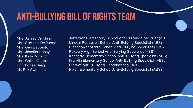#### Anti-Bullying Bill of Rights Team

Mrs. Ashley Cicchino Mrs. Stefanie DelRusso Mrs. Geri Esposito Mrs. Jennifer Kenny Mrs. Kelly Korovich Mrs. Gail LaCosta Dr. Charles Seipp Mr. Erik Swanson

Jefferson Elementary School Anti-Bullying Specialist (ABS) Lincoln Roosevelt School Anti-Bullying Specialist (ABS) Eisenhower Middle School Anti-Bullying Specialist (ABS) Roxbury High School Anti-Bullying Specialist (ABS) Kennedy Elementary School Anti-Bullying Specialist (ABS) Franklin Elementary School Anti-Bullying Specialist (ABS) District Anti- Bullying Coordinator (ABC) Nixon Elementary School Anti-Bullying Specialist (ABS)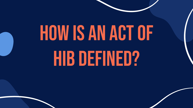# How is an act of **HIB DEFINED?**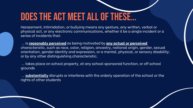#### Does the act meet all of these…

Harassment, Intimidation, or bullying means any gesture, any written, verbal or physical act, or any electronic communications, whether it be a single incident or a series of incidents that:

 ... is **reasonably perceived** as being motivated by **any actual or perceived** characteristic, such as race, color, religion, ancestry, national origin, gender, sexual orientation, gender identity and expression, or a mental, physical, or sensory disability; or by any other distinguishing characteristic;

 ... takes place on school property, at any school sponsored function, or off school grounds

 ... **substantially** disrupts or interferes with the orderly operation of the school or the rights of other students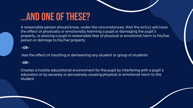#### …and one of these?

A reasonable person should know, under the circumstances, that the act(s) will have the effect of physically or emotionally harming a pupil or damaging the pupil's property, or placing a pupil in reasonable fear of physical or emotional harm to his/her person or damage to his/her property

**-OR-**

Has the effect of insulting or demeaning any student or group of students

#### **-OR-**

Creates a hostile educational environment for the pupil by interfering with a pupil's education or by severely or pervasively causing physical or emotional harm to the student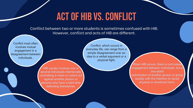#### Act of HIB vs. COnflict

Conflict between two or more students is sometimes confused with HIB. However, conflict and acts of HIB are different.

Conflict most often involves mutual engagement in a disagreement between individuals.

everyday life, can range from a simple disagreement over an idea to a verbal argument or a physical fight.

Conflict, which occurs in

HIB usually involves one or several individuals intentionally committing a mean or violent act against another person or persons who have a hard time defending themselves.

When HIB occurs, there is not mutual engagement between individuals, but a one-sided victimization of another person or group usually with the intention to cause physical or emotional harm.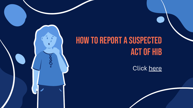#### How to report a Suspected act of HIB

Click [here](https://reporting.hibster.com/Pages/Home.aspx?id=195)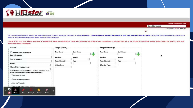

| Translate to another language. |                                |
|--------------------------------|--------------------------------|
| Select Language                |                                |
|                                | Powered by Go<br>gle Translate |
|                                |                                |
|                                |                                |

This form is intended for parents, teachers, and students to report any incident of harassment, intimidation, or bullying. All Roxbury Public Schools staff members are required to enter their name and fill out ALL boxes. E want to be contacted for follow-up you will need to enter your contact information.

PLEASE NOTE: This form is being submitted to an electronic queue for investigation. There is no guarantee that it will be read immediately. In the event that you or the student is in imminent danger, please contact the sch police department immediately.

| Incident Date is Unknown                                                                                   | <b>First Name:</b>                     | <b>Last Name:</b> | <b>First Name:</b>                     | <b>Last Name:</b> |   |
|------------------------------------------------------------------------------------------------------------|----------------------------------------|-------------------|----------------------------------------|-------------------|---|
| <b>Date of Incident:</b>                                                                                   |                                        |                   |                                        |                   | 5 |
|                                                                                                            | Gender:                                | Grade:            | Gender:                                | Grade:            |   |
| <b>Time of Incident:</b>                                                                                   | $\vee$                                 |                   | $\vee$                                 |                   |   |
|                                                                                                            | <b>Race/Ethnicity:</b><br>$\checkmark$ | Age:              | <b>Race/Ethnicity:</b><br>$\checkmark$ | Age:              |   |
| School:<br>$\checkmark$                                                                                    | <b>Victim Type:</b>                    |                   | <b>Offender Type:</b>                  |                   |   |
| When did the incident occur?                                                                               | $\checkmark$                           |                   |                                        |                   |   |
|                                                                                                            |                                        |                   |                                        |                   |   |
| Indicate how you learned that a student may have been a<br>victim of harassment, intimidation or bullying: |                                        |                   |                                        |                   |   |
| Witnessed incident                                                                                         |                                        |                   |                                        |                   |   |
| Informed By Alleged Victim                                                                                 |                                        |                   |                                        |                   |   |
| You Are The Victim                                                                                         |                                        |                   |                                        |                   |   |
| Informed by other (please specify)                                                                         |                                        |                   |                                        |                   |   |
| O)<br>Q                                                                                                    |                                        |                   |                                        |                   |   |
| Mouse<br>Pen<br>Eraser<br><b>Stickers</b><br>Rectangle                                                     |                                        |                   |                                        |                   |   |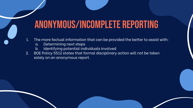#### Anonymous/Incomplete REporting

- 1. The more factual information that can be provided the better to assist with:
	- a. Determining next steps
	- b. Identifying potential individuals involved
- 2. BOE Policy 5512 states that formal disciplinary action will not be taken solely on an anonymous report.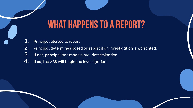#### WHAT HAPPENS TO A REPORT?

- 1. Principal alerted to report
- 2. Principal determines based on report if an investigation is warranted.
- 3. If not, principal has made a pre-determination
- 4. If so, the ABS will begin the investigation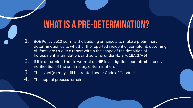#### WHAT IS A PRE-DETERMINATION?

- $1.$  BOE Policy 5512 permits the building principals to make a preliminary determination as to whether the reported incident or complaint, assuming all facts are true, is a report within the scope of the definition of harassment, intimidation, and bullying under N.J.S.A. 18A:37-14.
- 2. If it is determined not to warrant an HIB investigation, parents still receive notification of the preliminary determination.
- 3. The event(s) may still be treated under Code of Conduct.
- **4.** The appeal process remains.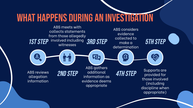#### What happens during an investigation

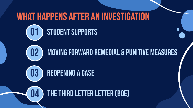#### What happens after an investigation

#### 01 STUDENT SUPPORTS

02 Moving Forward Remedial & PUnitive MEasures



03 REOPENING A CASE

04 THE THIRD LETTER LETTER (BOE)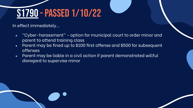### [S1790](https://www.billtrack50.com/BillDetail/1203897) - Passed 1/10/22

In effect immediately…

- "Cyber-harassment" option for municipal court to order minor and parent to attend training class
- Parent may be fined up to \$100 first offense and \$500 for subsequent offenses
- Parent may be liable in a civil action if parent demonstrated willful disregard to supervise minor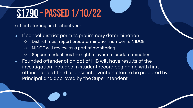### [S1790](https://www.billtrack50.com/BillDetail/1203897) - Passed 1/10/22

In effect starting next school year…

- If school district permits preliminary determination
	- District must report predetermination number to NJDOE
	- NJDOE will review as a part of monitoring
	- Superintendent has the right to overrule predetermination
- Founded offender of an act of HIB will have results of the investigation included in student record beginning with first offense and at third offense intervention plan to be prepared by Principal and approved by the Superintendent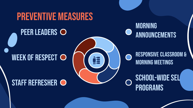#### PREVENTIVE MEASURES

#### PEER LEADERS O





Morning Meetings

## programs